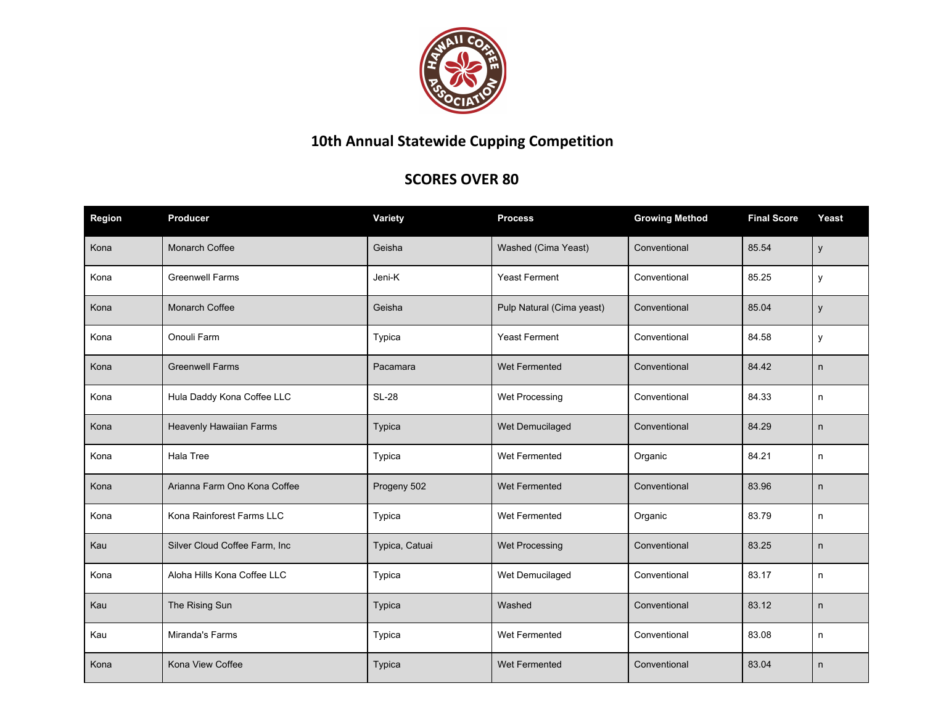

## **10th Annual Statewide Cupping Competition**

## **SCORES OVER 80**

| Region | <b>Producer</b>               | Variety        | <b>Process</b>            | <b>Growing Method</b> | <b>Final Score</b> | Yeast |
|--------|-------------------------------|----------------|---------------------------|-----------------------|--------------------|-------|
| Kona   | Monarch Coffee                | Geisha         | Washed (Cima Yeast)       | Conventional          | 85.54              | y     |
| Kona   | <b>Greenwell Farms</b>        | Jeni-K         | <b>Yeast Ferment</b>      | Conventional          | 85.25              | y     |
| Kona   | Monarch Coffee                | Geisha         | Pulp Natural (Cima yeast) | Conventional          | 85.04              | y     |
| Kona   | Onouli Farm                   | Typica         | <b>Yeast Ferment</b>      | Conventional          | 84.58              | y     |
| Kona   | <b>Greenwell Farms</b>        | Pacamara       | Wet Fermented             | Conventional          | 84.42              | n     |
| Kona   | Hula Daddy Kona Coffee LLC    | <b>SL-28</b>   | Wet Processing            | Conventional          | 84.33              | n     |
| Kona   | Heavenly Hawaiian Farms       | Typica         | Wet Demucilaged           | Conventional          | 84.29              | n     |
| Kona   | Hala Tree                     | Typica         | Wet Fermented             | Organic               | 84.21              | n     |
| Kona   | Arianna Farm Ono Kona Coffee  | Progeny 502    | Wet Fermented             | Conventional          | 83.96              | n     |
| Kona   | Kona Rainforest Farms LLC     | Typica         | Wet Fermented             | Organic               | 83.79              | n     |
| Kau    | Silver Cloud Coffee Farm, Inc | Typica, Catuai | Wet Processing            | Conventional          | 83.25              | n     |
| Kona   | Aloha Hills Kona Coffee LLC   | Typica         | Wet Demucilaged           | Conventional          | 83.17              | n     |
| Kau    | The Rising Sun                | Typica         | Washed                    | Conventional          | 83.12              | n     |
| Kau    | Miranda's Farms               | Typica         | Wet Fermented             | Conventional          | 83.08              | n     |
| Kona   | Kona View Coffee              | Typica         | Wet Fermented             | Conventional          | 83.04              | n     |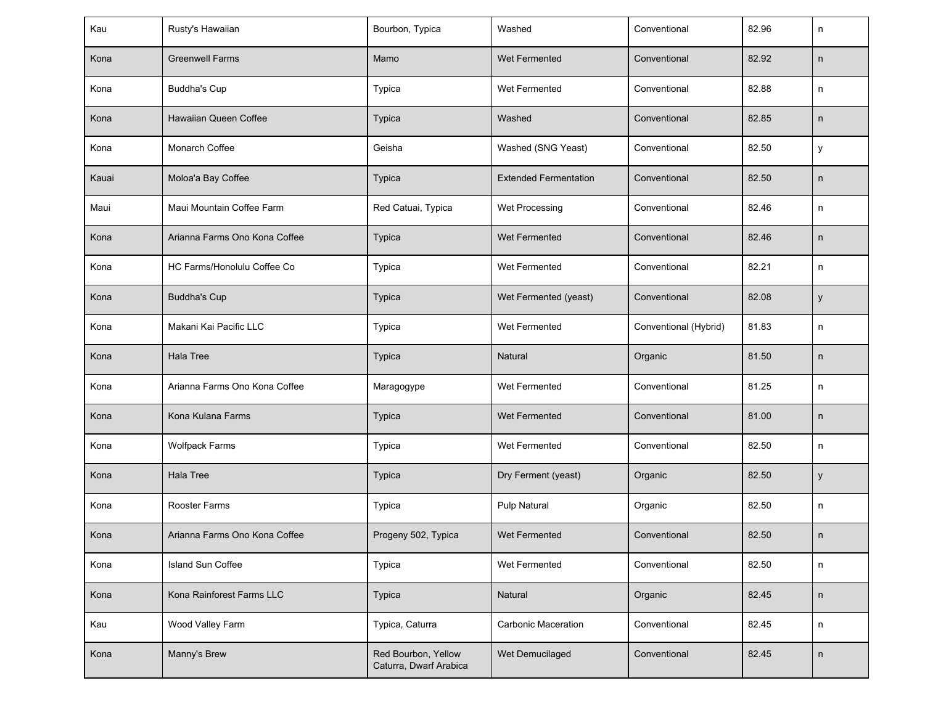| Kau   | Rusty's Hawaiian              | Bourbon, Typica                               | Washed                       | Conventional          | 82.96 | n            |
|-------|-------------------------------|-----------------------------------------------|------------------------------|-----------------------|-------|--------------|
| Kona  | <b>Greenwell Farms</b>        | Mamo                                          | Wet Fermented                | Conventional          | 82.92 | n            |
| Kona  | <b>Buddha's Cup</b>           | Typica                                        | Wet Fermented                | Conventional          | 82.88 | n            |
| Kona  | Hawaiian Queen Coffee         | <b>Typica</b>                                 | Washed                       | Conventional          | 82.85 | n            |
| Kona  | Monarch Coffee                | Geisha                                        | Washed (SNG Yeast)           | Conventional          | 82.50 | У            |
| Kauai | Moloa'a Bay Coffee            | Typica                                        | <b>Extended Fermentation</b> | Conventional          | 82.50 | n            |
| Maui  | Maui Mountain Coffee Farm     | Red Catuai, Typica                            | Wet Processing               | Conventional          | 82.46 | n            |
| Kona  | Arianna Farms Ono Kona Coffee | Typica                                        | Wet Fermented                | Conventional          | 82.46 | n            |
| Kona  | HC Farms/Honolulu Coffee Co   | Typica                                        | Wet Fermented                | Conventional          | 82.21 | n            |
| Kona  | <b>Buddha's Cup</b>           | <b>Typica</b>                                 | Wet Fermented (yeast)        | Conventional          | 82.08 | y            |
| Kona  | Makani Kai Pacific LLC        | Typica                                        | Wet Fermented                | Conventional (Hybrid) | 81.83 | n            |
| Kona  | <b>Hala Tree</b>              | Typica                                        | Natural                      | Organic               | 81.50 | n            |
| Kona  | Arianna Farms Ono Kona Coffee | Maragogype                                    | Wet Fermented                | Conventional          | 81.25 | n            |
| Kona  | Kona Kulana Farms             | Typica                                        | Wet Fermented                | Conventional          | 81.00 | n            |
| Kona  | <b>Wolfpack Farms</b>         | Typica                                        | Wet Fermented                | Conventional          | 82.50 | n            |
| Kona  | Hala Tree                     | Typica                                        | Dry Ferment (yeast)          | Organic               | 82.50 | у            |
| Kona  | Rooster Farms                 | Typica                                        | Pulp Natural                 | Organic               | 82.50 | n            |
| Kona  | Arianna Farms Ono Kona Coffee | Progeny 502, Typica                           | Wet Fermented                | Conventional          | 82.50 | $\mathsf{n}$ |
| Kona  | Island Sun Coffee             | Typica                                        | Wet Fermented                | Conventional          | 82.50 | n            |
| Kona  | Kona Rainforest Farms LLC     | Typica                                        | Natural                      | Organic               | 82.45 | n            |
| Kau   | Wood Valley Farm              | Typica, Caturra                               | Carbonic Maceration          | Conventional          | 82.45 | n            |
| Kona  | Manny's Brew                  | Red Bourbon, Yellow<br>Caturra, Dwarf Arabica | Wet Demucilaged              | Conventional          | 82.45 | n            |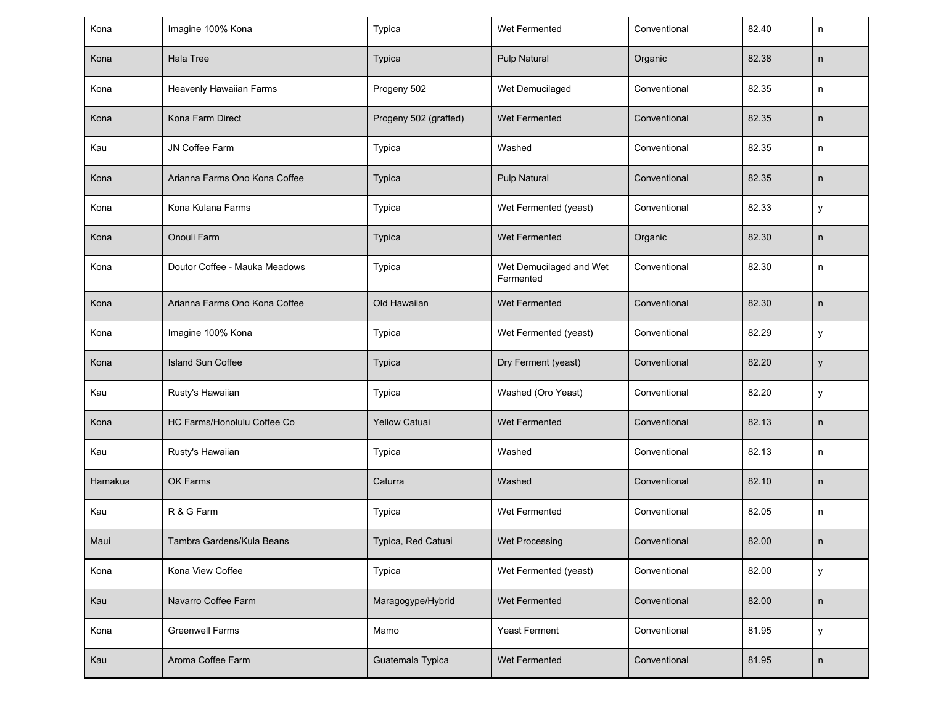| Kona    | Imagine 100% Kona             | Typica                | Wet Fermented                        | Conventional | 82.40 | n       |
|---------|-------------------------------|-----------------------|--------------------------------------|--------------|-------|---------|
| Kona    | Hala Tree                     | <b>Typica</b>         | Pulp Natural                         | Organic      | 82.38 | n       |
| Kona    | Heavenly Hawaiian Farms       | Progeny 502           | Wet Demucilaged                      | Conventional | 82.35 | n       |
| Kona    | Kona Farm Direct              | Progeny 502 (grafted) | Wet Fermented                        | Conventional | 82.35 | n       |
| Kau     | JN Coffee Farm                | Typica                | Washed                               | Conventional | 82.35 | n       |
| Kona    | Arianna Farms Ono Kona Coffee | <b>Typica</b>         | <b>Pulp Natural</b>                  | Conventional | 82.35 | n       |
| Kona    | Kona Kulana Farms             | Typica                | Wet Fermented (yeast)                | Conventional | 82.33 | у       |
| Kona    | Onouli Farm                   | <b>Typica</b>         | Wet Fermented                        | Organic      | 82.30 | n       |
| Kona    | Doutor Coffee - Mauka Meadows | Typica                | Wet Demucilaged and Wet<br>Fermented | Conventional | 82.30 | n       |
| Kona    | Arianna Farms Ono Kona Coffee | Old Hawaiian          | Wet Fermented                        | Conventional | 82.30 | n       |
| Kona    | Imagine 100% Kona             | Typica                | Wet Fermented (yeast)                | Conventional | 82.29 | у       |
| Kona    | <b>Island Sun Coffee</b>      | Typica                | Dry Ferment (yeast)                  | Conventional | 82.20 | у       |
| Kau     | Rusty's Hawaiian              | Typica                | Washed (Oro Yeast)                   | Conventional | 82.20 | у       |
| Kona    | HC Farms/Honolulu Coffee Co   | <b>Yellow Catuai</b>  | Wet Fermented                        | Conventional | 82.13 | n       |
| Kau     | Rusty's Hawaiian              | Typica                | Washed                               | Conventional | 82.13 | n       |
| Hamakua | OK Farms                      | Caturra               | Washed                               | Conventional | 82.10 | n       |
| Kau     | R & G Farm                    | Typica                | Wet Fermented                        | Conventional | 82.05 | n       |
| Maui    | Tambra Gardens/Kula Beans     | Typica, Red Catuai    | Wet Processing                       | Conventional | 82.00 | n       |
| Kona    | Kona View Coffee              | Typica                | Wet Fermented (yeast)                | Conventional | 82.00 | у       |
| Kau     | Navarro Coffee Farm           | Maragogype/Hybrid     | Wet Fermented                        | Conventional | 82.00 | n       |
| Kona    | <b>Greenwell Farms</b>        | Mamo                  | Yeast Ferment                        | Conventional | 81.95 | у       |
| Kau     | Aroma Coffee Farm             | Guatemala Typica      | Wet Fermented                        | Conventional | 81.95 | $\sf n$ |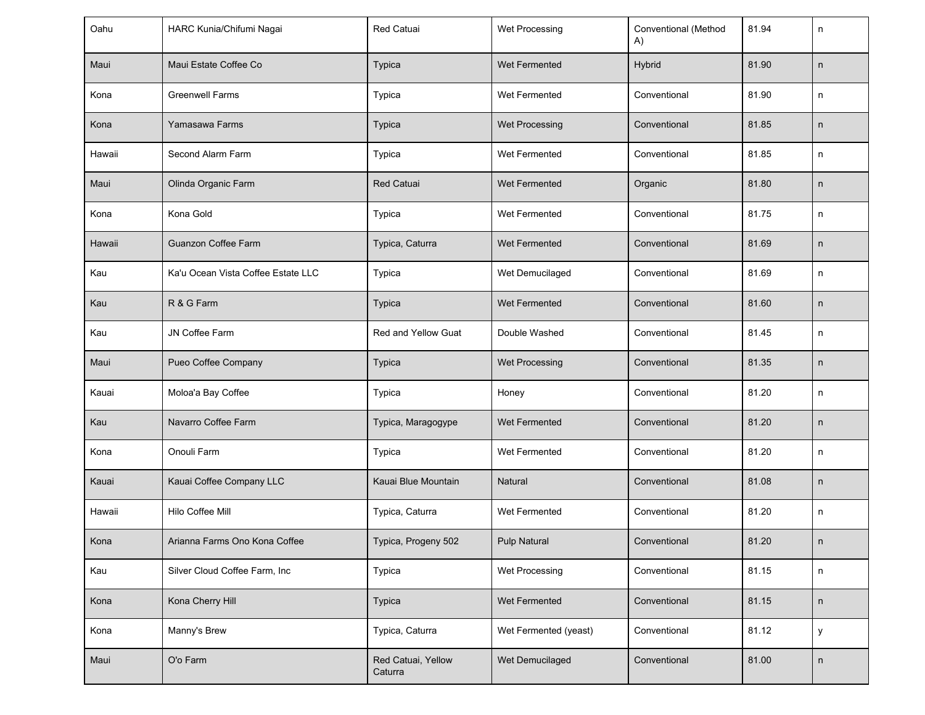| Oahu   | HARC Kunia/Chifumi Nagai           | Red Catuai                    | Wet Processing        | Conventional (Method<br>A) | 81.94 | n            |
|--------|------------------------------------|-------------------------------|-----------------------|----------------------------|-------|--------------|
| Maui   | Maui Estate Coffee Co              | <b>Typica</b>                 | Wet Fermented         | Hybrid                     | 81.90 | $\mathsf{n}$ |
| Kona   | <b>Greenwell Farms</b>             | Typica                        | Wet Fermented         | Conventional               | 81.90 | n            |
| Kona   | Yamasawa Farms                     | <b>Typica</b>                 | Wet Processing        | Conventional               | 81.85 | n            |
| Hawaii | Second Alarm Farm                  | Typica                        | Wet Fermented         | Conventional               | 81.85 | n            |
| Maui   | Olinda Organic Farm                | <b>Red Catuai</b>             | Wet Fermented         | Organic                    | 81.80 | $\mathsf{n}$ |
| Kona   | Kona Gold                          | Typica                        | Wet Fermented         | Conventional               | 81.75 | n            |
| Hawaii | Guanzon Coffee Farm                | Typica, Caturra               | Wet Fermented         | Conventional               | 81.69 | n            |
| Kau    | Ka'u Ocean Vista Coffee Estate LLC | Typica                        | Wet Demucilaged       | Conventional               | 81.69 | n            |
| Kau    | R & G Farm                         | <b>Typica</b>                 | Wet Fermented         | Conventional               | 81.60 | $\mathsf{n}$ |
| Kau    | JN Coffee Farm                     | Red and Yellow Guat           | Double Washed         | Conventional               | 81.45 | n            |
| Maui   | Pueo Coffee Company                | <b>Typica</b>                 | Wet Processing        | Conventional               | 81.35 | n            |
| Kauai  | Moloa'a Bay Coffee                 | Typica                        | Honey                 | Conventional               | 81.20 | n            |
| Kau    | Navarro Coffee Farm                | Typica, Maragogype            | Wet Fermented         | Conventional               | 81.20 | n            |
| Kona   | Onouli Farm                        | Typica                        | Wet Fermented         | Conventional               | 81.20 | n            |
| Kauai  | Kauai Coffee Company LLC           | Kauai Blue Mountain           | Natural               | Conventional               | 81.08 | n            |
| Hawaii | Hilo Coffee Mill                   | Typica, Caturra               | Wet Fermented         | Conventional               | 81.20 | n            |
| Kona   | Arianna Farms Ono Kona Coffee      | Typica, Progeny 502           | Pulp Natural          | Conventional               | 81.20 | n            |
| Kau    | Silver Cloud Coffee Farm, Inc      | Typica                        | Wet Processing        | Conventional               | 81.15 | n            |
| Kona   | Kona Cherry Hill                   | Typica                        | Wet Fermented         | Conventional               | 81.15 | n            |
| Kona   | Manny's Brew                       | Typica, Caturra               | Wet Fermented (yeast) | Conventional               | 81.12 | У            |
| Maui   | O'o Farm                           | Red Catuai, Yellow<br>Caturra | Wet Demucilaged       | Conventional               | 81.00 | $\sf n$      |